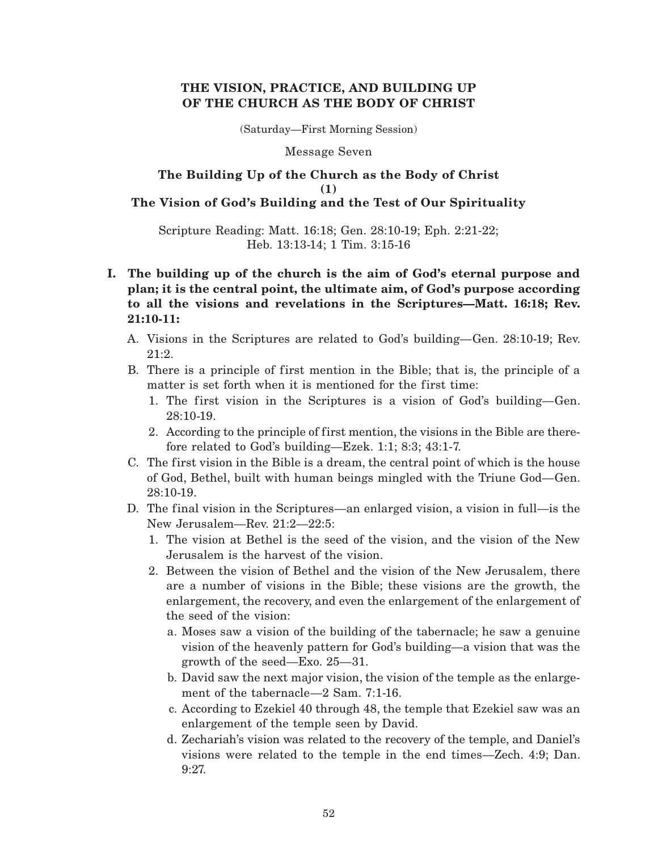## **THE VISION, PRACTICE, AND BUILDING UP OF THE CHURCH AS THE BODY OF CHRIST**

(Saturday—First Morning Session)

#### Message Seven

## **The Building Up of the Church as the Body of Christ (1) The Vision of God's Building and the Test of Our Spirituality**

Scripture Reading: Matt. 16:18; Gen. 28:10-19; Eph. 2:21-22; Heb. 13:13-14; 1 Tim. 3:15-16

- **I. The building up of the church is the aim of God's eternal purpose and plan; it is the central point, the ultimate aim, of God's purpose according to all the visions and revelations in the Scriptures—Matt. 16:18; Rev. 21:10-11:**
	- A. Visions in the Scriptures are related to God's building—Gen. 28:10-19; Rev. 21:2.
	- B. There is a principle of first mention in the Bible; that is, the principle of a matter is set forth when it is mentioned for the first time:
		- 1. The first vision in the Scriptures is a vision of God's building—Gen. 28:10-19.
		- 2. According to the principle of first mention, the visions in the Bible are therefore related to God's building—Ezek. 1:1; 8:3; 43:1-7.
	- C. The first vision in the Bible is a dream, the central point of which is the house of God, Bethel, built with human beings mingled with the Triune God—Gen. 28:10-19.
	- D. The final vision in the Scriptures—an enlarged vision, a vision in full—is the New Jerusalem—Rev. 21:2—22:5:
		- 1. The vision at Bethel is the seed of the vision, and the vision of the New Jerusalem is the harvest of the vision.
		- 2. Between the vision of Bethel and the vision of the New Jerusalem, there are a number of visions in the Bible; these visions are the growth, the enlargement, the recovery, and even the enlargement of the enlargement of the seed of the vision:
			- a. Moses saw a vision of the building of the tabernacle; he saw a genuine vision of the heavenly pattern for God's building—a vision that was the growth of the seed—Exo. 25—31.
			- b. David saw the next major vision, the vision of the temple as the enlargement of the tabernacle—2 Sam. 7:1-16.
			- c. According to Ezekiel 40 through 48, the temple that Ezekiel saw was an enlargement of the temple seen by David.
			- d. Zechariah's vision was related to the recovery of the temple, and Daniel's visions were related to the temple in the end times—Zech. 4:9; Dan. 9:27.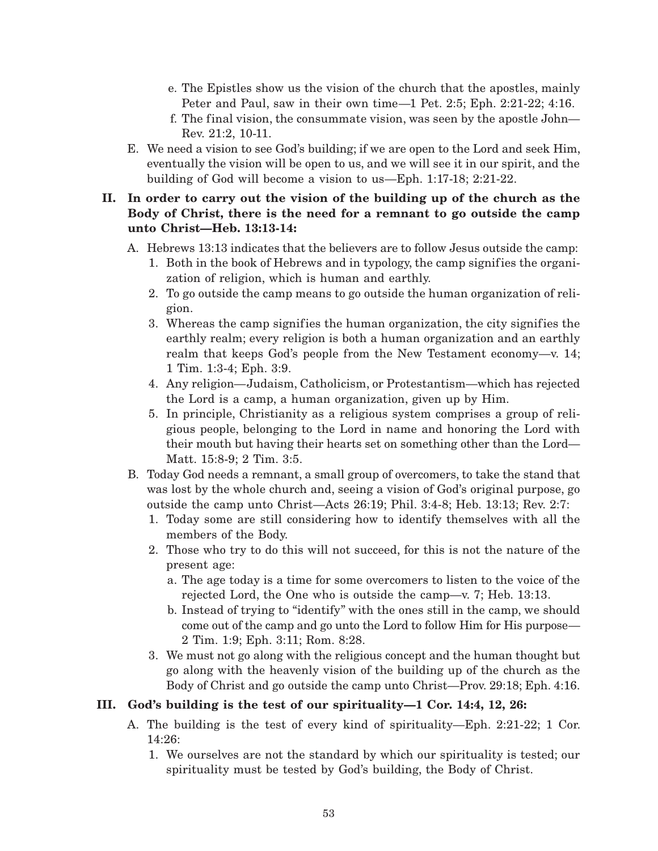- e. The Epistles show us the vision of the church that the apostles, mainly Peter and Paul, saw in their own time—1 Pet. 2:5; Eph. 2:21-22; 4:16.
- f. The final vision, the consummate vision, was seen by the apostle John— Rev. 21:2, 10-11.
- E. We need a vision to see God's building; if we are open to the Lord and seek Him, eventually the vision will be open to us, and we will see it in our spirit, and the building of God will become a vision to us—Eph. 1:17-18; 2:21-22.

# **II. In order to carry out the vision of the building up of the church as the Body of Christ, there is the need for a remnant to go outside the camp unto Christ—Heb. 13:13-14:**

- A. Hebrews 13:13 indicates that the believers are to follow Jesus outside the camp:
	- 1. Both in the book of Hebrews and in typology, the camp signif ies the organization of religion, which is human and earthly.
	- 2. To go outside the camp means to go outside the human organization of religion.
	- 3. Whereas the camp signifies the human organization, the city signifies the earthly realm; every religion is both a human organization and an earthly realm that keeps God's people from the New Testament economy—v. 14; 1 Tim. 1:3-4; Eph. 3:9.
	- 4. Any religion—Judaism, Catholicism, or Protestantism—which has rejected the Lord is a camp, a human organization, given up by Him.
	- 5. In principle, Christianity as a religious system comprises a group of religious people, belonging to the Lord in name and honoring the Lord with their mouth but having their hearts set on something other than the Lord— Matt. 15:8-9; 2 Tim. 3:5.
- B. Today God needs a remnant, a small group of overcomers, to take the stand that was lost by the whole church and, seeing a vision of God's original purpose, go outside the camp unto Christ—Acts 26:19; Phil. 3:4-8; Heb. 13:13; Rev. 2:7:
	- 1. Today some are still considering how to identify themselves with all the members of the Body.
	- 2. Those who try to do this will not succeed, for this is not the nature of the present age:
		- a. The age today is a time for some overcomers to listen to the voice of the rejected Lord, the One who is outside the camp—v. 7; Heb. 13:13.
		- b. Instead of trying to "identify" with the ones still in the camp, we should come out of the camp and go unto the Lord to follow Him for His purpose— 2 Tim. 1:9; Eph. 3:11; Rom. 8:28.
	- 3. We must not go along with the religious concept and the human thought but go along with the heavenly vision of the building up of the church as the Body of Christ and go outside the camp unto Christ—Prov. 29:18; Eph. 4:16.

# **III. God's building is the test of our spirituality—1 Cor. 14:4, 12, 26:**

- A. The building is the test of every kind of spirituality—Eph. 2:21-22; 1 Cor. 14:26:
	- 1. We ourselves are not the standard by which our spirituality is tested; our spirituality must be tested by God's building, the Body of Christ.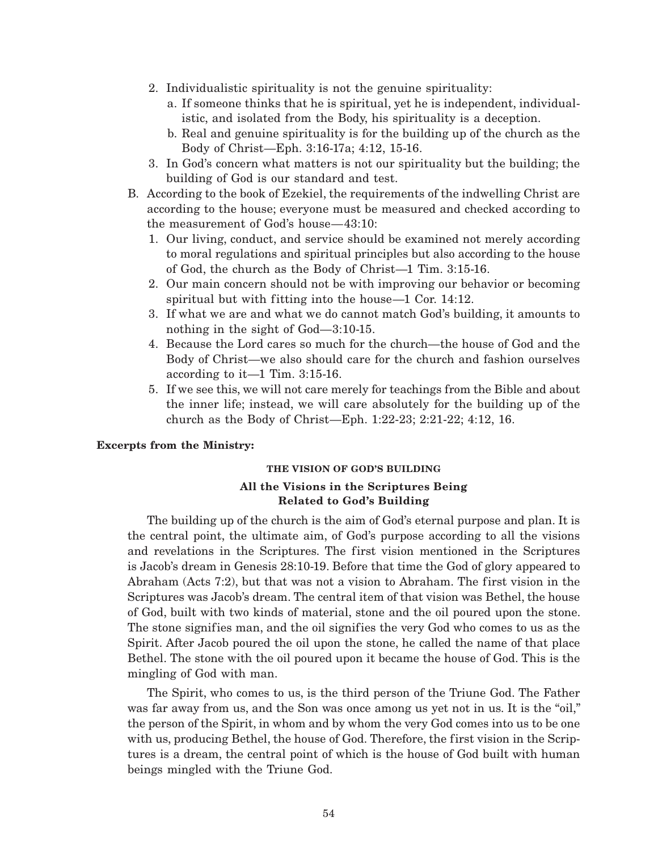- 2. Individualistic spirituality is not the genuine spirituality:
	- a. If someone thinks that he is spiritual, yet he is independent, individualistic, and isolated from the Body, his spirituality is a deception.
	- b. Real and genuine spirituality is for the building up of the church as the Body of Christ—Eph. 3:16-17a; 4:12, 15-16.
- 3. In God's concern what matters is not our spirituality but the building; the building of God is our standard and test.
- B. According to the book of Ezekiel, the requirements of the indwelling Christ are according to the house; everyone must be measured and checked according to the measurement of God's house—43:10:
	- 1. Our living, conduct, and service should be examined not merely according to moral regulations and spiritual principles but also according to the house of God, the church as the Body of Christ—1 Tim. 3:15-16.
	- 2. Our main concern should not be with improving our behavior or becoming spiritual but with fitting into the house—1 Cor. 14:12.
	- 3. If what we are and what we do cannot match God's building, it amounts to nothing in the sight of God—3:10-15.
	- 4. Because the Lord cares so much for the church—the house of God and the Body of Christ—we also should care for the church and fashion ourselves according to it—1 Tim. 3:15-16.
	- 5. If we see this, we will not care merely for teachings from the Bible and about the inner life; instead, we will care absolutely for the building up of the church as the Body of Christ—Eph. 1:22-23; 2:21-22; 4:12, 16.

#### **Excerpts from the Ministry:**

#### **THE VISION OF GOD'S BUILDING**

### **All the Visions in the Scriptures Being Related to God's Building**

The building up of the church is the aim of God's eternal purpose and plan. It is the central point, the ultimate aim, of God's purpose according to all the visions and revelations in the Scriptures. The first vision mentioned in the Scriptures is Jacob's dream in Genesis 28:10-19. Before that time the God of glory appeared to Abraham (Acts 7:2), but that was not a vision to Abraham. The first vision in the Scriptures was Jacob's dream. The central item of that vision was Bethel, the house of God, built with two kinds of material, stone and the oil poured upon the stone. The stone signifies man, and the oil signifies the very God who comes to us as the Spirit. After Jacob poured the oil upon the stone, he called the name of that place Bethel. The stone with the oil poured upon it became the house of God. This is the mingling of God with man.

The Spirit, who comes to us, is the third person of the Triune God. The Father was far away from us, and the Son was once among us yet not in us. It is the "oil," the person of the Spirit, in whom and by whom the very God comes into us to be one with us, producing Bethel, the house of God. Therefore, the first vision in the Scriptures is a dream, the central point of which is the house of God built with human beings mingled with the Triune God.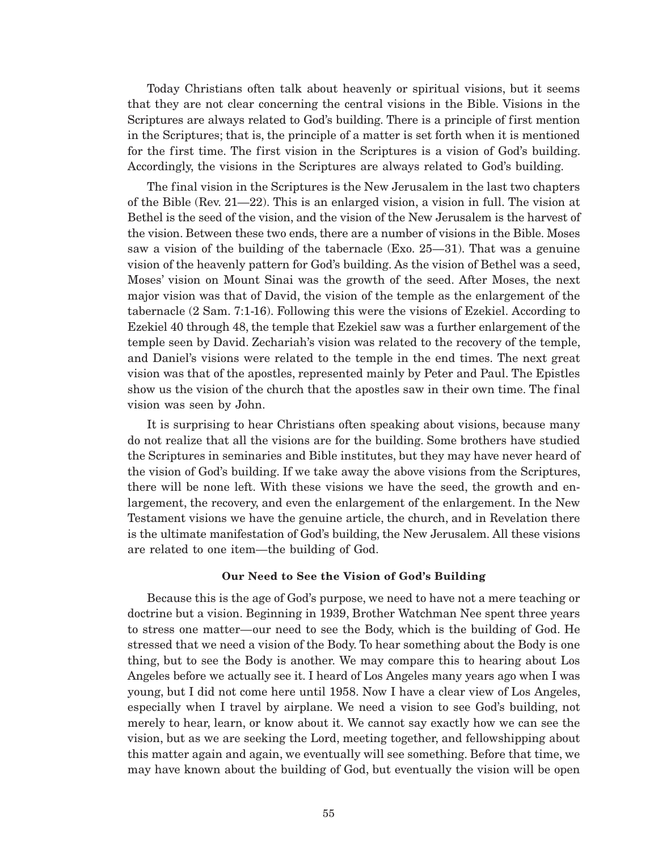Today Christians often talk about heavenly or spiritual visions, but it seems that they are not clear concerning the central visions in the Bible. Visions in the Scriptures are always related to God's building. There is a principle of first mention in the Scriptures; that is, the principle of a matter is set forth when it is mentioned for the first time. The first vision in the Scriptures is a vision of God's building. Accordingly, the visions in the Scriptures are always related to God's building.

The final vision in the Scriptures is the New Jerusalem in the last two chapters of the Bible (Rev. 21—22). This is an enlarged vision, a vision in full. The vision at Bethel is the seed of the vision, and the vision of the New Jerusalem is the harvest of the vision. Between these two ends, there are a number of visions in the Bible. Moses saw a vision of the building of the tabernacle (Exo.  $25-31$ ). That was a genuine vision of the heavenly pattern for God's building. As the vision of Bethel was a seed, Moses' vision on Mount Sinai was the growth of the seed. After Moses, the next major vision was that of David, the vision of the temple as the enlargement of the tabernacle (2 Sam. 7:1-16). Following this were the visions of Ezekiel. According to Ezekiel 40 through 48, the temple that Ezekiel saw was a further enlargement of the temple seen by David. Zechariah's vision was related to the recovery of the temple, and Daniel's visions were related to the temple in the end times. The next great vision was that of the apostles, represented mainly by Peter and Paul. The Epistles show us the vision of the church that the apostles saw in their own time. The final vision was seen by John.

It is surprising to hear Christians often speaking about visions, because many do not realize that all the visions are for the building. Some brothers have studied the Scriptures in seminaries and Bible institutes, but they may have never heard of the vision of God's building. If we take away the above visions from the Scriptures, there will be none left. With these visions we have the seed, the growth and enlargement, the recovery, and even the enlargement of the enlargement. In the New Testament visions we have the genuine article, the church, and in Revelation there is the ultimate manifestation of God's building, the New Jerusalem. All these visions are related to one item—the building of God.

#### **Our Need to See the Vision of God's Building**

Because this is the age of God's purpose, we need to have not a mere teaching or doctrine but a vision. Beginning in 1939, Brother Watchman Nee spent three years to stress one matter—our need to see the Body, which is the building of God. He stressed that we need a vision of the Body. To hear something about the Body is one thing, but to see the Body is another. We may compare this to hearing about Los Angeles before we actually see it. I heard of Los Angeles many years ago when I was young, but I did not come here until 1958. Now I have a clear view of Los Angeles, especially when I travel by airplane. We need a vision to see God's building, not merely to hear, learn, or know about it. We cannot say exactly how we can see the vision, but as we are seeking the Lord, meeting together, and fellowshipping about this matter again and again, we eventually will see something. Before that time, we may have known about the building of God, but eventually the vision will be open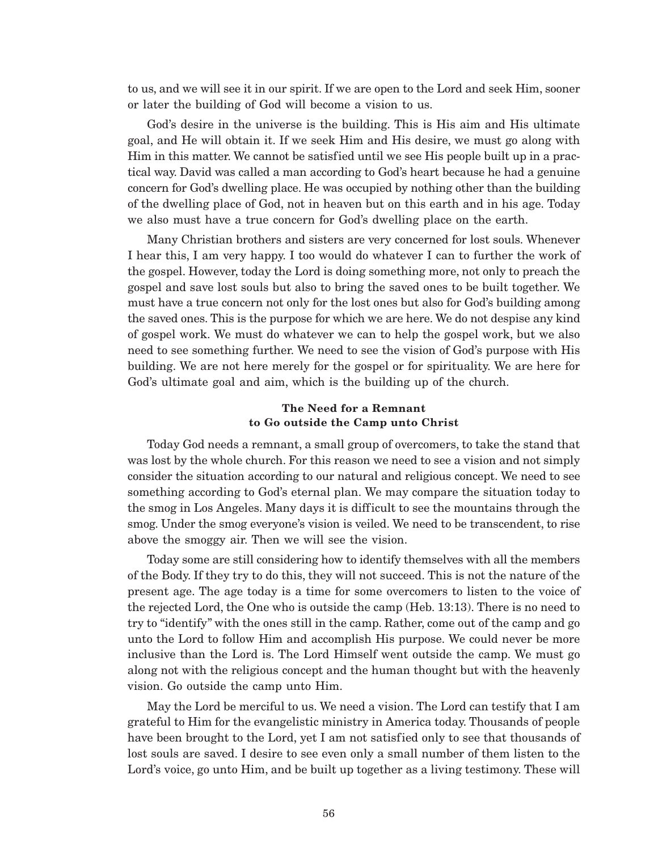to us, and we will see it in our spirit. If we are open to the Lord and seek Him, sooner or later the building of God will become a vision to us.

God's desire in the universe is the building. This is His aim and His ultimate goal, and He will obtain it. If we seek Him and His desire, we must go along with Him in this matter. We cannot be satisfied until we see His people built up in a practical way. David was called a man according to God's heart because he had a genuine concern for God's dwelling place. He was occupied by nothing other than the building of the dwelling place of God, not in heaven but on this earth and in his age. Today we also must have a true concern for God's dwelling place on the earth.

Many Christian brothers and sisters are very concerned for lost souls. Whenever I hear this, I am very happy. I too would do whatever I can to further the work of the gospel. However, today the Lord is doing something more, not only to preach the gospel and save lost souls but also to bring the saved ones to be built together. We must have a true concern not only for the lost ones but also for God's building among the saved ones. This is the purpose for which we are here. We do not despise any kind of gospel work. We must do whatever we can to help the gospel work, but we also need to see something further. We need to see the vision of God's purpose with His building. We are not here merely for the gospel or for spirituality. We are here for God's ultimate goal and aim, which is the building up of the church.

### **The Need for a Remnant to Go outside the Camp unto Christ**

Today God needs a remnant, a small group of overcomers, to take the stand that was lost by the whole church. For this reason we need to see a vision and not simply consider the situation according to our natural and religious concept. We need to see something according to God's eternal plan. We may compare the situation today to the smog in Los Angeles. Many days it is difficult to see the mountains through the smog. Under the smog everyone's vision is veiled. We need to be transcendent, to rise above the smoggy air. Then we will see the vision.

Today some are still considering how to identify themselves with all the members of the Body. If they try to do this, they will not succeed. This is not the nature of the present age. The age today is a time for some overcomers to listen to the voice of the rejected Lord, the One who is outside the camp (Heb. 13:13). There is no need to try to "identify" with the ones still in the camp. Rather, come out of the camp and go unto the Lord to follow Him and accomplish His purpose. We could never be more inclusive than the Lord is. The Lord Himself went outside the camp. We must go along not with the religious concept and the human thought but with the heavenly vision. Go outside the camp unto Him.

May the Lord be merciful to us. We need a vision. The Lord can testify that I am grateful to Him for the evangelistic ministry in America today. Thousands of people have been brought to the Lord, yet I am not satisfied only to see that thousands of lost souls are saved. I desire to see even only a small number of them listen to the Lord's voice, go unto Him, and be built up together as a living testimony. These will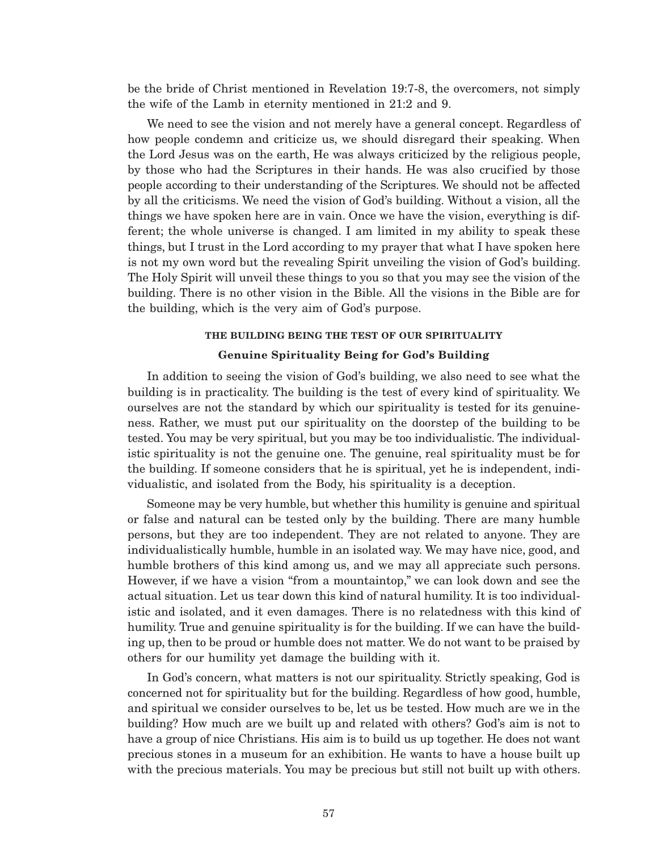be the bride of Christ mentioned in Revelation 19:7-8, the overcomers, not simply the wife of the Lamb in eternity mentioned in 21:2 and 9.

We need to see the vision and not merely have a general concept. Regardless of how people condemn and criticize us, we should disregard their speaking. When the Lord Jesus was on the earth, He was always criticized by the religious people, by those who had the Scriptures in their hands. He was also crucified by those people according to their understanding of the Scriptures. We should not be affected by all the criticisms. We need the vision of God's building. Without a vision, all the things we have spoken here are in vain. Once we have the vision, everything is different; the whole universe is changed. I am limited in my ability to speak these things, but I trust in the Lord according to my prayer that what I have spoken here is not my own word but the revealing Spirit unveiling the vision of God's building. The Holy Spirit will unveil these things to you so that you may see the vision of the building. There is no other vision in the Bible. All the visions in the Bible are for the building, which is the very aim of God's purpose.

#### **THE BUILDING BEING THE TEST OF OUR SPIRITUALITY**

#### **Genuine Spirituality Being for God's Building**

In addition to seeing the vision of God's building, we also need to see what the building is in practicality. The building is the test of every kind of spirituality. We ourselves are not the standard by which our spirituality is tested for its genuineness. Rather, we must put our spirituality on the doorstep of the building to be tested. You may be very spiritual, but you may be too individualistic. The individualistic spirituality is not the genuine one. The genuine, real spirituality must be for the building. If someone considers that he is spiritual, yet he is independent, individualistic, and isolated from the Body, his spirituality is a deception.

Someone may be very humble, but whether this humility is genuine and spiritual or false and natural can be tested only by the building. There are many humble persons, but they are too independent. They are not related to anyone. They are individualistically humble, humble in an isolated way. We may have nice, good, and humble brothers of this kind among us, and we may all appreciate such persons. However, if we have a vision "from a mountaintop," we can look down and see the actual situation. Let us tear down this kind of natural humility. It is too individualistic and isolated, and it even damages. There is no relatedness with this kind of humility. True and genuine spirituality is for the building. If we can have the building up, then to be proud or humble does not matter. We do not want to be praised by others for our humility yet damage the building with it.

In God's concern, what matters is not our spirituality. Strictly speaking, God is concerned not for spirituality but for the building. Regardless of how good, humble, and spiritual we consider ourselves to be, let us be tested. How much are we in the building? How much are we built up and related with others? God's aim is not to have a group of nice Christians. His aim is to build us up together. He does not want precious stones in a museum for an exhibition. He wants to have a house built up with the precious materials. You may be precious but still not built up with others.